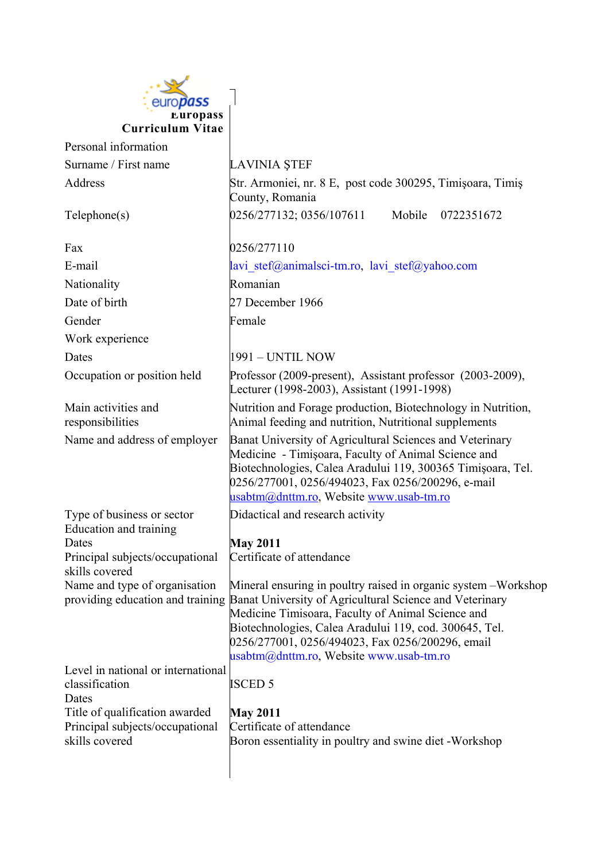

| Culticulum Vitat                                                                    |                                                                                                                                                                                                                                                                                                                                                                          |  |  |
|-------------------------------------------------------------------------------------|--------------------------------------------------------------------------------------------------------------------------------------------------------------------------------------------------------------------------------------------------------------------------------------------------------------------------------------------------------------------------|--|--|
| Personal information                                                                |                                                                                                                                                                                                                                                                                                                                                                          |  |  |
| Surname / First name                                                                | <b>LAVINIA ȘTEF</b>                                                                                                                                                                                                                                                                                                                                                      |  |  |
| Address                                                                             | Str. Armoniei, nr. 8 E, post code 300295, Timișoara, Timiș<br>County, Romania                                                                                                                                                                                                                                                                                            |  |  |
| Telphone(s)                                                                         | 0256/277132; 0356/107611<br>Mobile<br>0722351672                                                                                                                                                                                                                                                                                                                         |  |  |
| Fax                                                                                 | 0256/277110                                                                                                                                                                                                                                                                                                                                                              |  |  |
| E-mail                                                                              | lavi stef@animalsci-tm.ro, lavi stef@yahoo.com                                                                                                                                                                                                                                                                                                                           |  |  |
| Nationality                                                                         | Romanian                                                                                                                                                                                                                                                                                                                                                                 |  |  |
| Date of birth                                                                       | 27 December 1966                                                                                                                                                                                                                                                                                                                                                         |  |  |
| Gender                                                                              | Female                                                                                                                                                                                                                                                                                                                                                                   |  |  |
| Work experience                                                                     |                                                                                                                                                                                                                                                                                                                                                                          |  |  |
| Dates                                                                               | 1991 - UNTIL NOW                                                                                                                                                                                                                                                                                                                                                         |  |  |
| Occupation or position held                                                         | Professor (2009-present), Assistant professor (2003-2009),<br>Lecturer (1998-2003), Assistant (1991-1998)                                                                                                                                                                                                                                                                |  |  |
| Main activities and<br>responsibilities                                             | Nutrition and Forage production, Biotechnology in Nutrition,<br>Animal feeding and nutrition, Nutritional supplements                                                                                                                                                                                                                                                    |  |  |
| Name and address of employer                                                        | Banat University of Agricultural Sciences and Veterinary<br>Medicine - Timișoara, Faculty of Animal Science and<br>Biotechnologies, Calea Aradului 119, 300365 Timișoara, Tel.<br>0256/277001, 0256/494023, Fax 0256/200296, e-mail<br>usabtm@dnttm.ro, Website www.usab-tm.ro                                                                                           |  |  |
| Type of business or sector                                                          | Didactical and research activity                                                                                                                                                                                                                                                                                                                                         |  |  |
| Education and training<br>Dates                                                     | <b>May 2011</b>                                                                                                                                                                                                                                                                                                                                                          |  |  |
| Principal subjects/occupational<br>skills covered                                   | Certificate of attendance                                                                                                                                                                                                                                                                                                                                                |  |  |
| Name and type of organisation                                                       | Mineral ensuring in poultry raised in organic system -Workshop<br>providing education and training Banat University of Agricultural Science and Veterinary<br>Medicine Timisoara, Faculty of Animal Science and<br>Biotechnologies, Calea Aradului 119, cod. 300645, Tel.<br>0256/277001, 0256/494023, Fax 0256/200296, email<br>usabtm@dnttm.ro, Website www.usab-tm.ro |  |  |
| Level in national or international<br>classification<br>Dates                       | <b>ISCED 5</b>                                                                                                                                                                                                                                                                                                                                                           |  |  |
| Title of qualification awarded<br>Principal subjects/occupational<br>skills covered | <b>May 2011</b><br>Certificate of attendance<br>Boron essentiality in poultry and swine diet -Workshop                                                                                                                                                                                                                                                                   |  |  |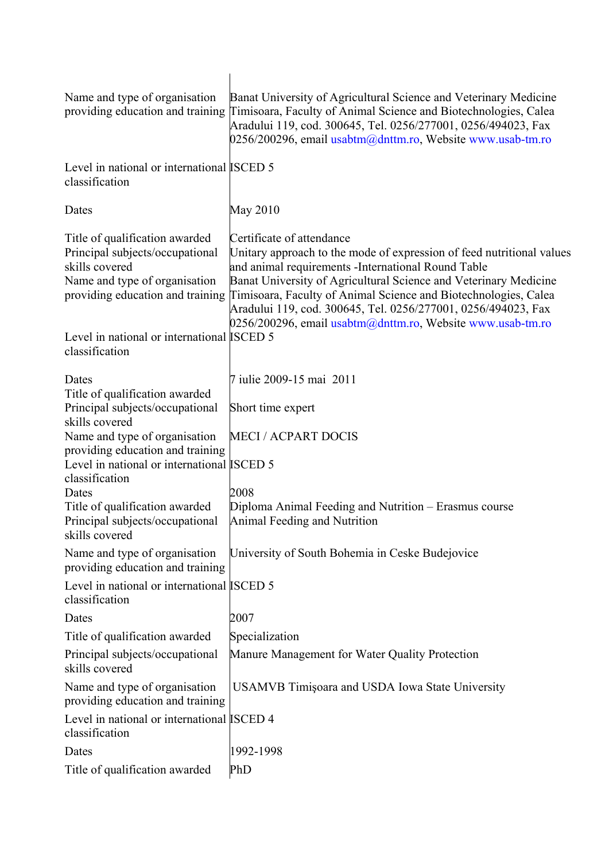| Name and type of organisation<br>providing education and training                                                                                        | Banat University of Agricultural Science and Veterinary Medicine<br>Timisoara, Faculty of Animal Science and Biotechnologies, Calea<br>Aradului 119, cod. 300645, Tel. 0256/277001, 0256/494023, Fax<br>0256/200296, email usabtm@dnttm.ro, Website www.usab-tm.ro                                                                                                                                                             |
|----------------------------------------------------------------------------------------------------------------------------------------------------------|--------------------------------------------------------------------------------------------------------------------------------------------------------------------------------------------------------------------------------------------------------------------------------------------------------------------------------------------------------------------------------------------------------------------------------|
| Level in national or international ISCED 5<br>classification                                                                                             |                                                                                                                                                                                                                                                                                                                                                                                                                                |
| Dates                                                                                                                                                    | May 2010                                                                                                                                                                                                                                                                                                                                                                                                                       |
| Title of qualification awarded<br>Principal subjects/occupational<br>skills covered<br>Name and type of organisation<br>providing education and training | Certificate of attendance<br>Unitary approach to the mode of expression of feed nutritional values<br>and animal requirements -International Round Table<br>Banat University of Agricultural Science and Veterinary Medicine<br>Timisoara, Faculty of Animal Science and Biotechnologies, Calea<br>Aradului 119, cod. 300645, Tel. 0256/277001, 0256/494023, Fax<br>0256/200296, email usabtm@dnttm.ro, Website www.usab-tm.ro |
| Level in national or international ISCED 5<br>classification                                                                                             |                                                                                                                                                                                                                                                                                                                                                                                                                                |
| Dates<br>Title of qualification awarded                                                                                                                  | 7 iulie 2009-15 mai 2011                                                                                                                                                                                                                                                                                                                                                                                                       |
| Principal subjects/occupational<br>skills covered                                                                                                        | Short time expert                                                                                                                                                                                                                                                                                                                                                                                                              |
| Name and type of organisation<br>providing education and training<br>Level in national or international ISCED 5                                          | <b>MECI / ACPART DOCIS</b>                                                                                                                                                                                                                                                                                                                                                                                                     |
| classification<br>Dates                                                                                                                                  | 2008                                                                                                                                                                                                                                                                                                                                                                                                                           |
| Title of qualification awarded<br>Principal subjects/occupational<br>skills covered                                                                      | Diploma Animal Feeding and Nutrition – Erasmus course<br>Animal Feeding and Nutrition                                                                                                                                                                                                                                                                                                                                          |
| Name and type of organisation<br>providing education and training                                                                                        | University of South Bohemia in Ceske Budejovice                                                                                                                                                                                                                                                                                                                                                                                |
| Level in national or international ISCED 5<br>classification                                                                                             |                                                                                                                                                                                                                                                                                                                                                                                                                                |
| Dates                                                                                                                                                    | 2007                                                                                                                                                                                                                                                                                                                                                                                                                           |
| Title of qualification awarded                                                                                                                           | Specialization                                                                                                                                                                                                                                                                                                                                                                                                                 |
| Principal subjects/occupational<br>skills covered                                                                                                        | Manure Management for Water Quality Protection                                                                                                                                                                                                                                                                                                                                                                                 |
| Name and type of organisation<br>providing education and training                                                                                        | USAMVB Timișoara and USDA Iowa State University                                                                                                                                                                                                                                                                                                                                                                                |
| Level in national or international ISCED 4<br>classification                                                                                             |                                                                                                                                                                                                                                                                                                                                                                                                                                |
| Dates                                                                                                                                                    | 1992-1998                                                                                                                                                                                                                                                                                                                                                                                                                      |
| Title of qualification awarded                                                                                                                           | PhD                                                                                                                                                                                                                                                                                                                                                                                                                            |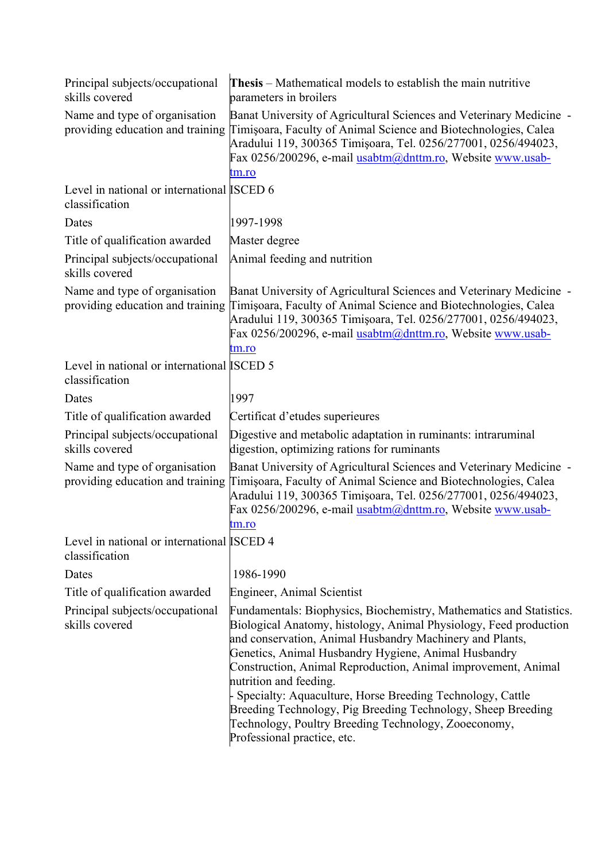| Principal subjects/occupational<br>skills covered                 | <b>Thesis</b> – Mathematical models to establish the main nutritive<br>parameters in broilers                                                                                                                                                                                                                                                                                                                                                                                                                                                                               |
|-------------------------------------------------------------------|-----------------------------------------------------------------------------------------------------------------------------------------------------------------------------------------------------------------------------------------------------------------------------------------------------------------------------------------------------------------------------------------------------------------------------------------------------------------------------------------------------------------------------------------------------------------------------|
| Name and type of organisation<br>providing education and training | Banat University of Agricultural Sciences and Veterinary Medicine -<br>Timișoara, Faculty of Animal Science and Biotechnologies, Calea<br>Aradului 119, 300365 Timișoara, Tel. 0256/277001, 0256/494023,<br>Fax 0256/200296, e-mail usabtm@dnttm.ro, Website www.usab-<br>tm.ro                                                                                                                                                                                                                                                                                             |
| Level in national or international ISCED 6<br>classification      |                                                                                                                                                                                                                                                                                                                                                                                                                                                                                                                                                                             |
| Dates                                                             | 1997-1998                                                                                                                                                                                                                                                                                                                                                                                                                                                                                                                                                                   |
| Title of qualification awarded                                    | Master degree                                                                                                                                                                                                                                                                                                                                                                                                                                                                                                                                                               |
| Principal subjects/occupational<br>skills covered                 | Animal feeding and nutrition                                                                                                                                                                                                                                                                                                                                                                                                                                                                                                                                                |
| Name and type of organisation<br>providing education and training | Banat University of Agricultural Sciences and Veterinary Medicine -<br>Timișoara, Faculty of Animal Science and Biotechnologies, Calea<br>Aradului 119, 300365 Timișoara, Tel. 0256/277001, 0256/494023,<br>Fax 0256/200296, e-mail usabtm@dnttm.ro, Website www.usab-<br>tm.ro                                                                                                                                                                                                                                                                                             |
| Level in national or international ISCED 5<br>classification      |                                                                                                                                                                                                                                                                                                                                                                                                                                                                                                                                                                             |
| Dates                                                             | 1997                                                                                                                                                                                                                                                                                                                                                                                                                                                                                                                                                                        |
| Title of qualification awarded                                    | Certificat d'etudes superieures                                                                                                                                                                                                                                                                                                                                                                                                                                                                                                                                             |
| Principal subjects/occupational<br>skills covered                 | Digestive and metabolic adaptation in ruminants: intraruminal<br>digestion, optimizing rations for ruminants                                                                                                                                                                                                                                                                                                                                                                                                                                                                |
| Name and type of organisation<br>providing education and training | Banat University of Agricultural Sciences and Veterinary Medicine -<br>Timișoara, Faculty of Animal Science and Biotechnologies, Calea<br>Aradului 119, 300365 Timișoara, Tel. 0256/277001, 0256/494023,<br>Fax 0256/200296, e-mail usabtm@dnttm.ro, Website www.usab-<br>tm.ro                                                                                                                                                                                                                                                                                             |
| Level in national or international ISCED 4<br>classification      |                                                                                                                                                                                                                                                                                                                                                                                                                                                                                                                                                                             |
| Dates                                                             | 1986-1990                                                                                                                                                                                                                                                                                                                                                                                                                                                                                                                                                                   |
| Title of qualification awarded                                    | Engineer, Animal Scientist                                                                                                                                                                                                                                                                                                                                                                                                                                                                                                                                                  |
| Principal subjects/occupational<br>skills covered                 | Fundamentals: Biophysics, Biochemistry, Mathematics and Statistics.<br>Biological Anatomy, histology, Animal Physiology, Feed production<br>and conservation, Animal Husbandry Machinery and Plants,<br>Genetics, Animal Husbandry Hygiene, Animal Husbandry<br>Construction, Animal Reproduction, Animal improvement, Animal<br>nutrition and feeding.<br>Specialty: Aquaculture, Horse Breeding Technology, Cattle<br>Breeding Technology, Pig Breeding Technology, Sheep Breeding<br>Technology, Poultry Breeding Technology, Zooeconomy,<br>Professional practice, etc. |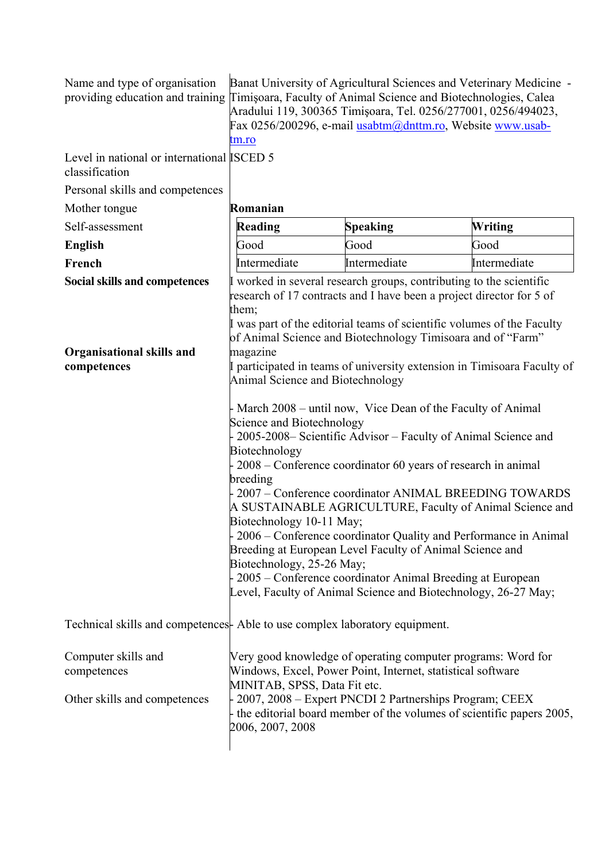| Name and type of organisation<br>providing education and training           | tm.ro                                                                                                                                                                                                                                                                                                                                                                                                                                                                                                                                                                                                                                                                                                                                                                                                                                                                                             | Banat University of Agricultural Sciences and Veterinary Medicine -<br>Timișoara, Faculty of Animal Science and Biotechnologies, Calea<br>Aradului 119, 300365 Timișoara, Tel. 0256/277001, 0256/494023,<br>Fax 0256/200296, e-mail usabtm@dnttm.ro, Website www.usab- |              |
|-----------------------------------------------------------------------------|---------------------------------------------------------------------------------------------------------------------------------------------------------------------------------------------------------------------------------------------------------------------------------------------------------------------------------------------------------------------------------------------------------------------------------------------------------------------------------------------------------------------------------------------------------------------------------------------------------------------------------------------------------------------------------------------------------------------------------------------------------------------------------------------------------------------------------------------------------------------------------------------------|------------------------------------------------------------------------------------------------------------------------------------------------------------------------------------------------------------------------------------------------------------------------|--------------|
| Level in national or international ISCED 5<br>classification                |                                                                                                                                                                                                                                                                                                                                                                                                                                                                                                                                                                                                                                                                                                                                                                                                                                                                                                   |                                                                                                                                                                                                                                                                        |              |
| Personal skills and competences                                             |                                                                                                                                                                                                                                                                                                                                                                                                                                                                                                                                                                                                                                                                                                                                                                                                                                                                                                   |                                                                                                                                                                                                                                                                        |              |
| Mother tongue                                                               | Romanian                                                                                                                                                                                                                                                                                                                                                                                                                                                                                                                                                                                                                                                                                                                                                                                                                                                                                          |                                                                                                                                                                                                                                                                        |              |
| Self-assessment                                                             | <b>Reading</b>                                                                                                                                                                                                                                                                                                                                                                                                                                                                                                                                                                                                                                                                                                                                                                                                                                                                                    | <b>Speaking</b>                                                                                                                                                                                                                                                        | Writing      |
| <b>English</b>                                                              | Good                                                                                                                                                                                                                                                                                                                                                                                                                                                                                                                                                                                                                                                                                                                                                                                                                                                                                              | Good                                                                                                                                                                                                                                                                   | Good         |
| French                                                                      | Intermediate                                                                                                                                                                                                                                                                                                                                                                                                                                                                                                                                                                                                                                                                                                                                                                                                                                                                                      | Intermediate                                                                                                                                                                                                                                                           | Intermediate |
| Social skills and competences                                               | I worked in several research groups, contributing to the scientific<br>research of 17 contracts and I have been a project director for 5 of<br>them;<br>I was part of the editorial teams of scientific volumes of the Faculty                                                                                                                                                                                                                                                                                                                                                                                                                                                                                                                                                                                                                                                                    |                                                                                                                                                                                                                                                                        |              |
| <b>Organisational skills and</b><br>competences                             | of Animal Science and Biotechnology Timisoara and of "Farm"<br>magazine<br>I participated in teams of university extension in Timisoara Faculty of<br>Animal Science and Biotechnology<br>- March 2008 – until now, Vice Dean of the Faculty of Animal<br>Science and Biotechnology<br>- 2005-2008– Scientific Advisor – Faculty of Animal Science and<br>Biotechnology<br>2008 – Conference coordinator 60 years of research in animal<br>breeding<br>2007 – Conference coordinator ANIMAL BREEDING TOWARDS<br>A SUSTAINABLE AGRICULTURE, Faculty of Animal Science and<br>Biotechnology 10-11 May;<br>2006 – Conference coordinator Quality and Performance in Animal<br>Breeding at European Level Faculty of Animal Science and<br>Biotechnology, 25-26 May;<br>- 2005 – Conference coordinator Animal Breeding at European<br>Level, Faculty of Animal Science and Biotechnology, 26-27 May; |                                                                                                                                                                                                                                                                        |              |
| Technical skills and competences. Able to use complex laboratory equipment. |                                                                                                                                                                                                                                                                                                                                                                                                                                                                                                                                                                                                                                                                                                                                                                                                                                                                                                   |                                                                                                                                                                                                                                                                        |              |
| Computer skills and<br>competences<br>Other skills and competences          | MINITAB, SPSS, Data Fit etc.<br>2006, 2007, 2008                                                                                                                                                                                                                                                                                                                                                                                                                                                                                                                                                                                                                                                                                                                                                                                                                                                  | Very good knowledge of operating computer programs: Word for<br>Windows, Excel, Power Point, Internet, statistical software<br>2007, 2008 – Expert PNCDI 2 Partnerships Program; CEEX<br>the editorial board member of the volumes of scientific papers 2005,          |              |